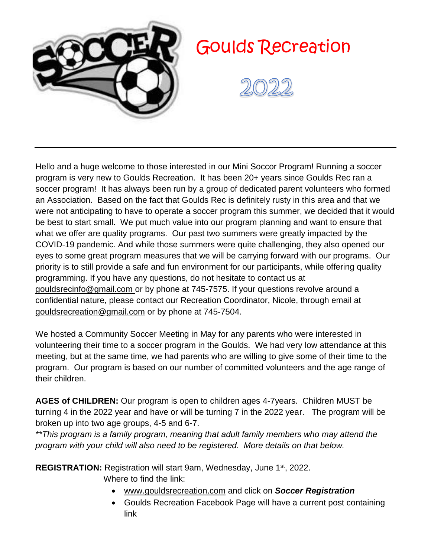

# Goulds Recreation



Hello and a huge welcome to those interested in our Mini Soccor Program! Running a soccer program is very new to Goulds Recreation. It has been 20+ years since Goulds Rec ran a soccer program! It has always been run by a group of dedicated parent volunteers who formed an Association. Based on the fact that Goulds Rec is definitely rusty in this area and that we were not anticipating to have to operate a soccer program this summer, we decided that it would be best to start small. We put much value into our program planning and want to ensure that what we offer are quality programs. Our past two summers were greatly impacted by the COVID-19 pandemic. And while those summers were quite challenging, they also opened our eyes to some great program measures that we will be carrying forward with our programs. Our priority is to still provide a safe and fun environment for our participants, while offering quality programming. If you have any questions, do not hesitate to contact us at [gouldsrecinfo@gmail.com](mailto:gouldsrecinfo@gmail.com) or by phone at 745-7575. If your questions revolve around a confidential nature, please contact our Recreation Coordinator, Nicole, through email at [gouldsrecreation@gmail.com](mailto:gouldsrecreation@gmail.com) or by phone at 745-7504.

We hosted a Community Soccer Meeting in May for any parents who were interested in volunteering their time to a soccer program in the Goulds. We had very low attendance at this meeting, but at the same time, we had parents who are willing to give some of their time to the program. Our program is based on our number of committed volunteers and the age range of their children.

**AGES of CHILDREN:** Our program is open to children ages 4-7years. Children MUST be turning 4 in the 2022 year and have or will be turning 7 in the 2022 year. The program will be broken up into two age groups, 4-5 and 6-7.

*\*\*This program is a family program, meaning that adult family members who may attend the program with your child will also need to be registered. More details on that below.* 

**REGISTRATION:** Registration will start 9am, Wednesday, June 1st, 2022.

Where to find the link:

- [www.gouldsrecreation.com](http://www.gouldsrecreation.com/) and click on *Soccer Registration*
- Goulds Recreation Facebook Page will have a current post containing link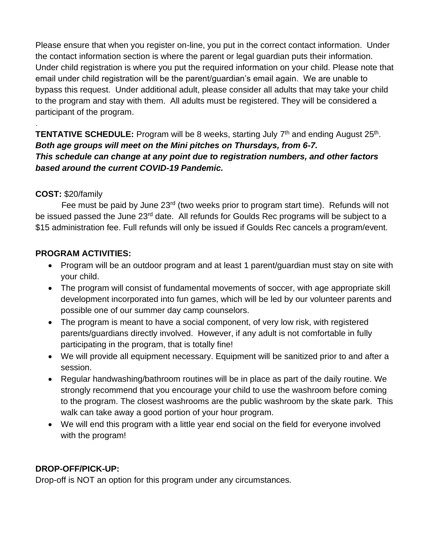Please ensure that when you register on-line, you put in the correct contact information. Under the contact information section is where the parent or legal guardian puts their information. Under child registration is where you put the required information on your child. Please note that email under child registration will be the parent/guardian's email again. We are unable to bypass this request. Under additional adult, please consider all adults that may take your child to the program and stay with them. All adults must be registered. They will be considered a participant of the program.

**TENTATIVE SCHEDULE:** Program will be 8 weeks, starting July 7<sup>th</sup> and ending August 25<sup>th</sup>. *Both age groups will meet on the Mini pitches on Thursdays, from 6-7. This schedule can change at any point due to registration numbers, and other factors based around the current COVID-19 Pandemic.* 

## **COST:** \$20/family

.

Fee must be paid by June 23<sup>rd</sup> (two weeks prior to program start time). Refunds will not be issued passed the June 23<sup>rd</sup> date. All refunds for Goulds Rec programs will be subject to a \$15 administration fee. Full refunds will only be issued if Goulds Rec cancels a program/event.

## **PROGRAM ACTIVITIES:**

- Program will be an outdoor program and at least 1 parent/guardian must stay on site with your child.
- The program will consist of fundamental movements of soccer, with age appropriate skill development incorporated into fun games, which will be led by our volunteer parents and possible one of our summer day camp counselors.
- The program is meant to have a social component, of very low risk, with registered parents/guardians directly involved. However, if any adult is not comfortable in fully participating in the program, that is totally fine!
- We will provide all equipment necessary. Equipment will be sanitized prior to and after a session.
- Regular handwashing/bathroom routines will be in place as part of the daily routine. We strongly recommend that you encourage your child to use the washroom before coming to the program. The closest washrooms are the public washroom by the skate park. This walk can take away a good portion of your hour program.
- We will end this program with a little year end social on the field for everyone involved with the program!

# **DROP-OFF/PICK-UP:**

Drop-off is NOT an option for this program under any circumstances.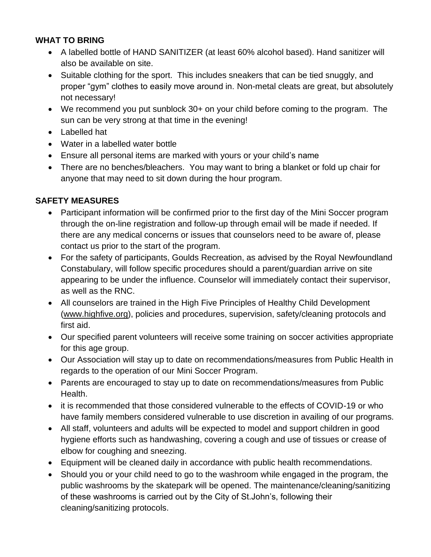## **WHAT TO BRING**

- A labelled bottle of HAND SANITIZER (at least 60% alcohol based). Hand sanitizer will also be available on site.
- Suitable clothing for the sport. This includes sneakers that can be tied snuggly, and proper "gym" clothes to easily move around in. Non-metal cleats are great, but absolutely not necessary!
- We recommend you put sunblock 30+ on your child before coming to the program. The sun can be very strong at that time in the evening!
- Labelled hat
- Water in a labelled water bottle
- Ensure all personal items are marked with yours or your child's name
- There are no benches/bleachers. You may want to bring a blanket or fold up chair for anyone that may need to sit down during the hour program.

# **SAFETY MEASURES**

- Participant information will be confirmed prior to the first day of the Mini Soccer program through the on-line registration and follow-up through email will be made if needed. If there are any medical concerns or issues that counselors need to be aware of, please contact us prior to the start of the program.
- For the safety of participants, Goulds Recreation, as advised by the Royal Newfoundland Constabulary, will follow specific procedures should a parent/guardian arrive on site appearing to be under the influence. Counselor will immediately contact their supervisor, as well as the RNC.
- All counselors are trained in the High Five Principles of Healthy Child Development [\(www.highfive.org\)](http://www.highfive.org/), policies and procedures, supervision, safety/cleaning protocols and first aid.
- Our specified parent volunteers will receive some training on soccer activities appropriate for this age group.
- Our Association will stay up to date on recommendations/measures from Public Health in regards to the operation of our Mini Soccer Program.
- Parents are encouraged to stay up to date on recommendations/measures from Public Health.
- it is recommended that those considered vulnerable to the effects of COVID-19 or who have family members considered vulnerable to use discretion in availing of our programs.
- All staff, volunteers and adults will be expected to model and support children in good hygiene efforts such as handwashing, covering a cough and use of tissues or crease of elbow for coughing and sneezing.
- Equipment will be cleaned daily in accordance with public health recommendations.
- Should you or your child need to go to the washroom while engaged in the program, the public washrooms by the skatepark will be opened. The maintenance/cleaning/sanitizing of these washrooms is carried out by the City of St.John's, following their cleaning/sanitizing protocols.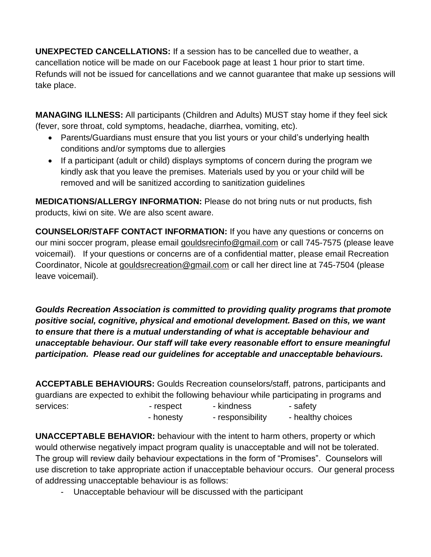**UNEXPECTED CANCELLATIONS:** If a session has to be cancelled due to weather, a cancellation notice will be made on our Facebook page at least 1 hour prior to start time. Refunds will not be issued for cancellations and we cannot guarantee that make up sessions will take place.

**MANAGING ILLNESS:** All participants (Children and Adults) MUST stay home if they feel sick (fever, sore throat, cold symptoms, headache, diarrhea, vomiting, etc).

- Parents/Guardians must ensure that you list yours or your child's underlying health conditions and/or symptoms due to allergies
- If a participant (adult or child) displays symptoms of concern during the program we kindly ask that you leave the premises. Materials used by you or your child will be removed and will be sanitized according to sanitization guidelines

**MEDICATIONS/ALLERGY INFORMATION:** Please do not bring nuts or nut products, fish products, kiwi on site. We are also scent aware.

**COUNSELOR/STAFF CONTACT INFORMATION:** If you have any questions or concerns on our mini soccer program, please email [gouldsrecinfo@gmail.com](mailto:gouldsrecinfo@gmail.com) or call 745-7575 (please leave voicemail). If your questions or concerns are of a confidential matter, please email Recreation Coordinator, Nicole at [gouldsrecreation@gmail.com](mailto:gouldsrecreation@gmail.com) or call her direct line at 745-7504 (please leave voicemail).

*Goulds Recreation Association is committed to providing quality programs that promote positive social, cognitive, physical and emotional development. Based on this, we want to ensure that there is a mutual understanding of what is acceptable behaviour and unacceptable behaviour. Our staff will take every reasonable effort to ensure meaningful participation. Please read our guidelines for acceptable and unacceptable behaviours.*

**ACCEPTABLE BEHAVIOURS:** Goulds Recreation counselors/staff, patrons, participants and guardians are expected to exhibit the following behaviour while participating in programs and services: The services of the services: The safety respect that he kindness are safety - honesty - responsibility - healthy choices

**UNACCEPTABLE BEHAVIOR:** behaviour with the intent to harm others, property or which would otherwise negatively impact program quality is unacceptable and will not be tolerated. The group will review daily behaviour expectations in the form of "Promises". Counselors will use discretion to take appropriate action if unacceptable behaviour occurs. Our general process of addressing unacceptable behaviour is as follows:

- Unacceptable behaviour will be discussed with the participant